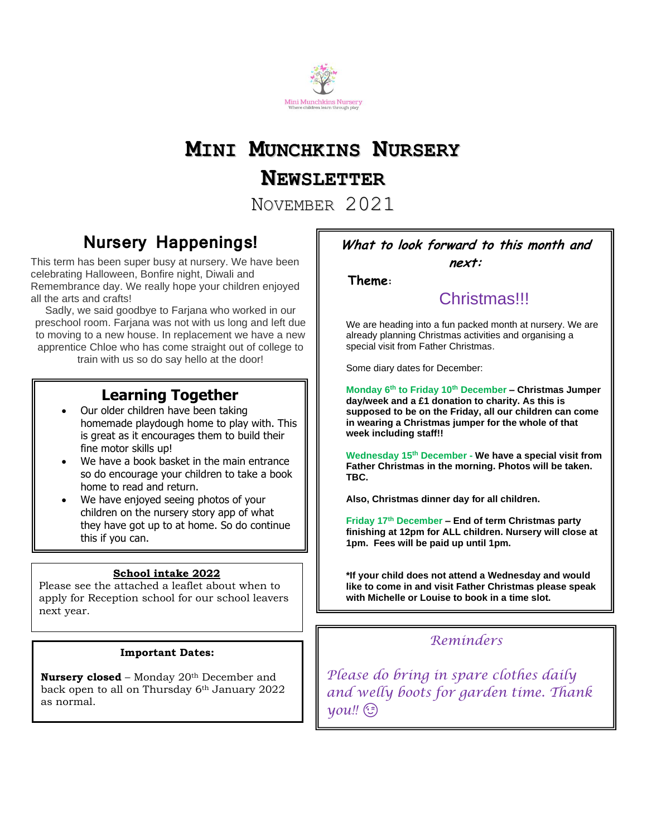

# **MINI MUNCHKINS NURSERY**

### **NEWSLETTER**

NOVEMBER 2021

### **Nursery Happenings!**

This term has been super busy at nursery. We have been celebrating Halloween, Bonfire night, Diwali and Remembrance day. We really hope your children enjoyed all the arts and crafts!

Sadly, we said goodbye to Farjana who worked in our preschool room. Farjana was not with us long and left due to moving to a new house. In replacement we have a new apprentice Chloe who has come straight out of college to

train with us so do say hello at the door!

### **Learning Together**

- Our older children have been taking homemade playdough home to play with. This is great as it encourages them to build their fine motor skills up!
- We have a book basket in the main entrance so do encourage your children to take a book home to read and return.
- We have enjoyed seeing photos of your children on the nursery story app of what they have got up to at home. So do continue this if you can.

#### **School intake 2022**

Please see the attached a leaflet about when to apply for Reception school for our school leavers next year.

#### **Important Dates:**

**Nursery closed** – Monday 20<sup>th</sup> December and back open to all on Thursday 6th January 2022 as normal.

### **What to look forward to this month and**

**next:**

 **Theme:**

### **Christmas!!!**

We are heading into a fun packed month at nursery. We are already planning Christmas activities and organising a special visit from Father Christmas.

Some diary dates for December:

**Monday 6th to Friday 10th December – Christmas Jumper day/week and a £1 donation to charity. As this is supposed to be on the Friday, all our children can come in wearing a Christmas jumper for the whole of that week including staff!!** 

**Wednesday 15th December - We have a special visit from Father Christmas in the morning. Photos will be taken. TBC.**

**Also, Christmas dinner day for all children.**

**Friday 17th December – End of term Christmas party finishing at 12pm for ALL children. Nursery will close at 1pm. Fees will be paid up until 1pm.**

**\*If your child does not attend a Wednesday and would like to come in and visit Father Christmas please speak with Michelle or Louise to book in a time slot.**

### *Reminders*

*Please do bring in spare clothes daily and welly boots for garden time. Thank you!!*